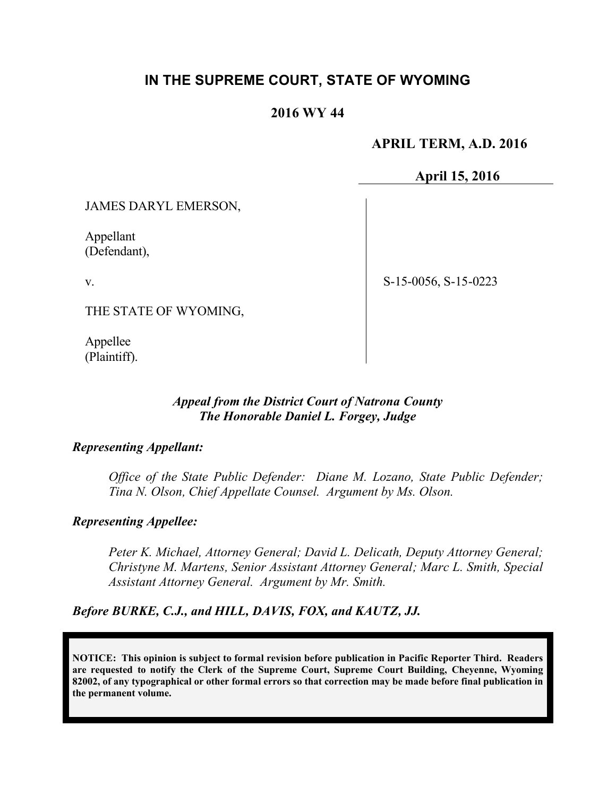# **IN THE SUPREME COURT, STATE OF WYOMING**

# **2016 WY 44**

 **APRIL TERM, A.D. 2016**

**April 15, 2016**

JAMES DARYL EMERSON,

Appellant (Defendant),

v.

S-15-0056, S-15-0223

THE STATE OF WYOMING,

Appellee (Plaintiff).

### *Appeal from the District Court of Natrona County The Honorable Daniel L. Forgey, Judge*

#### *Representing Appellant:*

*Office of the State Public Defender: Diane M. Lozano, State Public Defender; Tina N. Olson, Chief Appellate Counsel. Argument by Ms. Olson.*

## *Representing Appellee:*

*Peter K. Michael, Attorney General; David L. Delicath, Deputy Attorney General; Christyne M. Martens, Senior Assistant Attorney General; Marc L. Smith, Special Assistant Attorney General. Argument by Mr. Smith.*

*Before BURKE, C.J., and HILL, DAVIS, FOX, and KAUTZ, JJ.*

**NOTICE: This opinion is subject to formal revision before publication in Pacific Reporter Third. Readers are requested to notify the Clerk of the Supreme Court, Supreme Court Building, Cheyenne, Wyoming 82002, of any typographical or other formal errors so that correction may be made before final publication in the permanent volume.**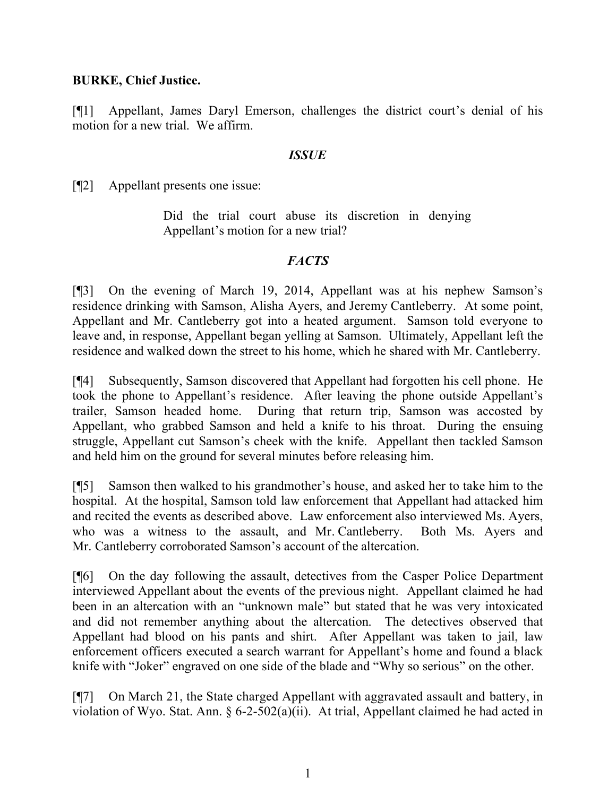#### **BURKE, Chief Justice.**

[¶1] Appellant, James Daryl Emerson, challenges the district court's denial of his motion for a new trial. We affirm.

#### *ISSUE*

[¶2] Appellant presents one issue:

Did the trial court abuse its discretion in denying Appellant's motion for a new trial?

### *FACTS*

[¶3] On the evening of March 19, 2014, Appellant was at his nephew Samson's residence drinking with Samson, Alisha Ayers, and Jeremy Cantleberry. At some point, Appellant and Mr. Cantleberry got into a heated argument. Samson told everyone to leave and, in response, Appellant began yelling at Samson. Ultimately, Appellant left the residence and walked down the street to his home, which he shared with Mr. Cantleberry.

[¶4] Subsequently, Samson discovered that Appellant had forgotten his cell phone. He took the phone to Appellant's residence. After leaving the phone outside Appellant's trailer, Samson headed home. During that return trip, Samson was accosted by Appellant, who grabbed Samson and held a knife to his throat. During the ensuing struggle, Appellant cut Samson's cheek with the knife. Appellant then tackled Samson and held him on the ground for several minutes before releasing him.

[¶5] Samson then walked to his grandmother's house, and asked her to take him to the hospital. At the hospital, Samson told law enforcement that Appellant had attacked him and recited the events as described above. Law enforcement also interviewed Ms. Ayers, who was a witness to the assault, and Mr. Cantleberry. Both Ms. Ayers and Mr. Cantleberry corroborated Samson's account of the altercation.

[¶6] On the day following the assault, detectives from the Casper Police Department interviewed Appellant about the events of the previous night. Appellant claimed he had been in an altercation with an "unknown male" but stated that he was very intoxicated and did not remember anything about the altercation. The detectives observed that Appellant had blood on his pants and shirt. After Appellant was taken to jail, law enforcement officers executed a search warrant for Appellant's home and found a black knife with "Joker" engraved on one side of the blade and "Why so serious" on the other.

[¶7] On March 21, the State charged Appellant with aggravated assault and battery, in violation of Wyo. Stat. Ann. § 6-2-502(a)(ii). At trial, Appellant claimed he had acted in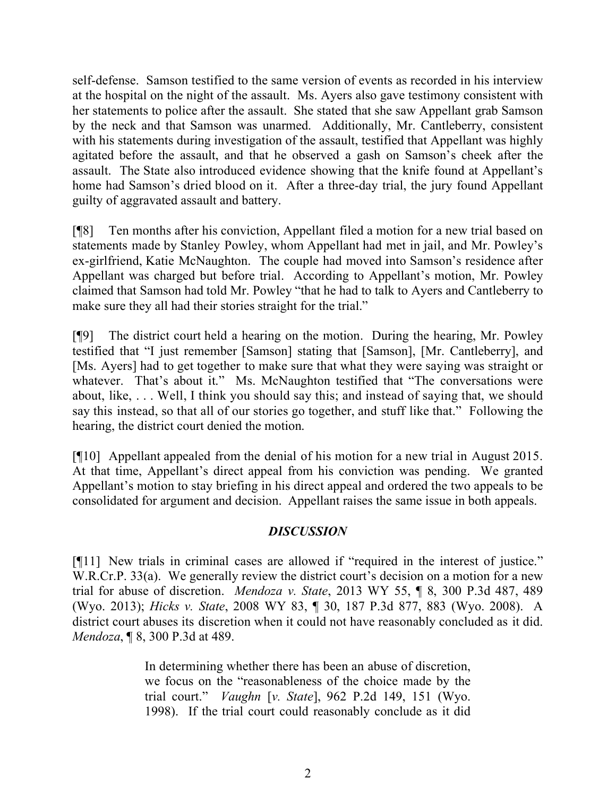self-defense. Samson testified to the same version of events as recorded in his interview at the hospital on the night of the assault. Ms. Ayers also gave testimony consistent with her statements to police after the assault. She stated that she saw Appellant grab Samson by the neck and that Samson was unarmed. Additionally, Mr. Cantleberry, consistent with his statements during investigation of the assault, testified that Appellant was highly agitated before the assault, and that he observed a gash on Samson's cheek after the assault. The State also introduced evidence showing that the knife found at Appellant's home had Samson's dried blood on it. After a three-day trial, the jury found Appellant guilty of aggravated assault and battery.

[¶8] Ten months after his conviction, Appellant filed a motion for a new trial based on statements made by Stanley Powley, whom Appellant had met in jail, and Mr. Powley's ex-girlfriend, Katie McNaughton. The couple had moved into Samson's residence after Appellant was charged but before trial. According to Appellant's motion, Mr. Powley claimed that Samson had told Mr. Powley "that he had to talk to Ayers and Cantleberry to make sure they all had their stories straight for the trial."

[¶9] The district court held a hearing on the motion. During the hearing, Mr. Powley testified that "I just remember [Samson] stating that [Samson], [Mr. Cantleberry], and [Ms. Ayers] had to get together to make sure that what they were saying was straight or whatever. That's about it." Ms. McNaughton testified that "The conversations were about, like, . . . Well, I think you should say this; and instead of saying that, we should say this instead, so that all of our stories go together, and stuff like that." Following the hearing, the district court denied the motion.

[¶10] Appellant appealed from the denial of his motion for a new trial in August 2015. At that time, Appellant's direct appeal from his conviction was pending. We granted Appellant's motion to stay briefing in his direct appeal and ordered the two appeals to be consolidated for argument and decision. Appellant raises the same issue in both appeals.

## *DISCUSSION*

[¶11] New trials in criminal cases are allowed if "required in the interest of justice." W.R.Cr.P. 33(a). We generally review the district court's decision on a motion for a new trial for abuse of discretion. *Mendoza v. State*, 2013 WY 55, ¶ 8, 300 P.3d 487, 489 (Wyo. 2013); *Hicks v. State*, 2008 WY 83, ¶ 30, 187 P.3d 877, 883 (Wyo. 2008). A district court abuses its discretion when it could not have reasonably concluded as it did. *Mendoza*, ¶ 8, 300 P.3d at 489.

> In determining whether there has been an abuse of discretion, we focus on the "reasonableness of the choice made by the trial court." *Vaughn* [*v. State*], 962 P.2d 149, 151 (Wyo. 1998). If the trial court could reasonably conclude as it did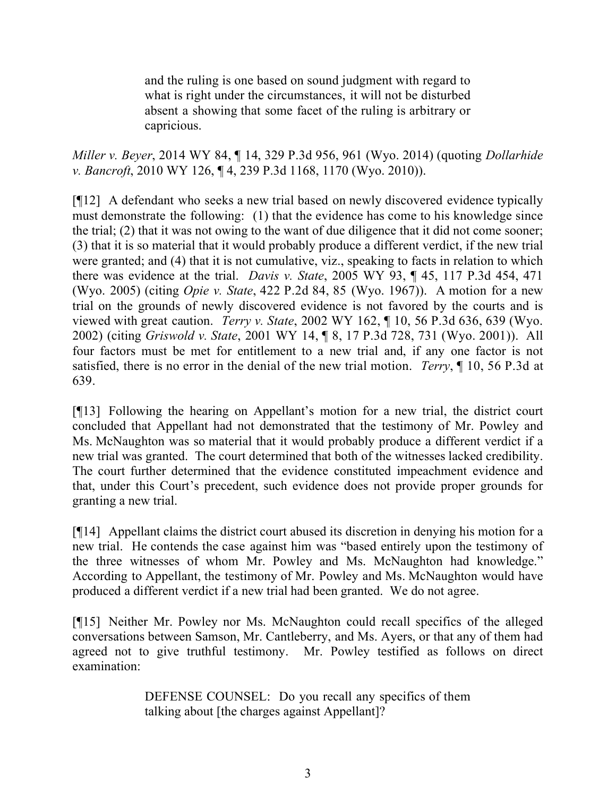and the ruling is one based on sound judgment with regard to what is right under the circumstances, it will not be disturbed absent a showing that some facet of the ruling is arbitrary or capricious.

*Miller v. Beyer*, 2014 WY 84, ¶ 14, 329 P.3d 956, 961 (Wyo. 2014) (quoting *Dollarhide v. Bancroft*, 2010 WY 126, ¶ 4, 239 P.3d 1168, 1170 (Wyo. 2010)).

[¶12] A defendant who seeks a new trial based on newly discovered evidence typically must demonstrate the following: (1) that the evidence has come to his knowledge since the trial; (2) that it was not owing to the want of due diligence that it did not come sooner; (3) that it is so material that it would probably produce a different verdict, if the new trial were granted; and (4) that it is not cumulative, viz., speaking to facts in relation to which there was evidence at the trial. *Davis v. State*, 2005 WY 93, ¶ 45, 117 P.3d 454, 471 (Wyo. 2005) (citing *Opie v. State*, 422 P.2d 84, 85 (Wyo. 1967)). A motion for a new trial on the grounds of newly discovered evidence is not favored by the courts and is viewed with great caution. *Terry v. State*, 2002 WY 162, ¶ 10, 56 P.3d 636, 639 (Wyo. 2002) (citing *Griswold v. State*, 2001 WY 14, ¶ 8, 17 P.3d 728, 731 (Wyo. 2001)). All four factors must be met for entitlement to a new trial and, if any one factor is not satisfied, there is no error in the denial of the new trial motion. *Terry*, ¶ 10, 56 P.3d at 639.

[¶13] Following the hearing on Appellant's motion for a new trial, the district court concluded that Appellant had not demonstrated that the testimony of Mr. Powley and Ms. McNaughton was so material that it would probably produce a different verdict if a new trial was granted. The court determined that both of the witnesses lacked credibility. The court further determined that the evidence constituted impeachment evidence and that, under this Court's precedent, such evidence does not provide proper grounds for granting a new trial.

[¶14] Appellant claims the district court abused its discretion in denying his motion for a new trial. He contends the case against him was "based entirely upon the testimony of the three witnesses of whom Mr. Powley and Ms. McNaughton had knowledge." According to Appellant, the testimony of Mr. Powley and Ms. McNaughton would have produced a different verdict if a new trial had been granted. We do not agree.

[¶15] Neither Mr. Powley nor Ms. McNaughton could recall specifics of the alleged conversations between Samson, Mr. Cantleberry, and Ms. Ayers, or that any of them had agreed not to give truthful testimony. Mr. Powley testified as follows on direct examination:

> DEFENSE COUNSEL: Do you recall any specifics of them talking about [the charges against Appellant]?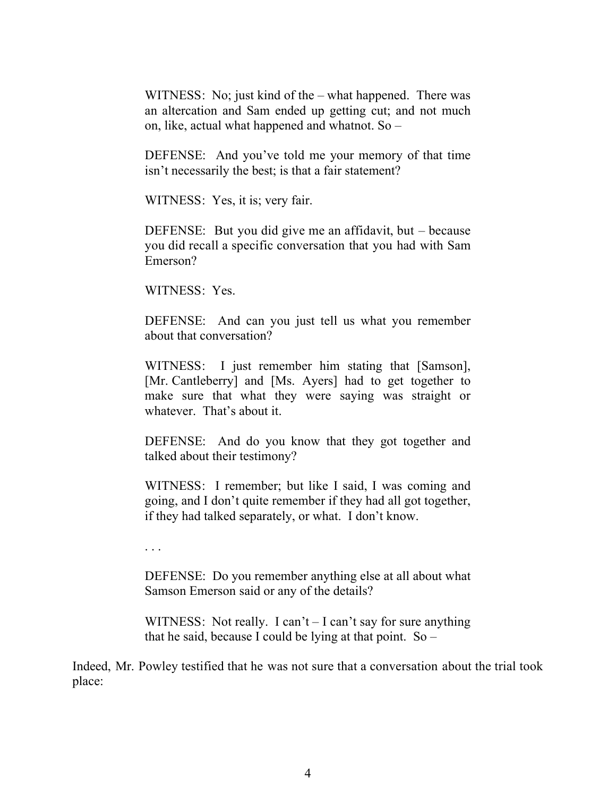WITNESS: No; just kind of the – what happened. There was an altercation and Sam ended up getting cut; and not much on, like, actual what happened and whatnot. So –

DEFENSE: And you've told me your memory of that time isn't necessarily the best; is that a fair statement?

WITNESS: Yes, it is; very fair.

DEFENSE: But you did give me an affidavit, but – because you did recall a specific conversation that you had with Sam Emerson?

WITNESS: Yes.

DEFENSE: And can you just tell us what you remember about that conversation?

WITNESS: I just remember him stating that [Samson], [Mr. Cantleberry] and [Ms. Ayers] had to get together to make sure that what they were saying was straight or whatever. That's about it.

DEFENSE: And do you know that they got together and talked about their testimony?

WITNESS: I remember; but like I said, I was coming and going, and I don't quite remember if they had all got together, if they had talked separately, or what. I don't know.

. . .

DEFENSE: Do you remember anything else at all about what Samson Emerson said or any of the details?

WITNESS: Not really. I can't – I can't say for sure anything that he said, because I could be lying at that point.  $So -$ 

Indeed, Mr. Powley testified that he was not sure that a conversation about the trial took place: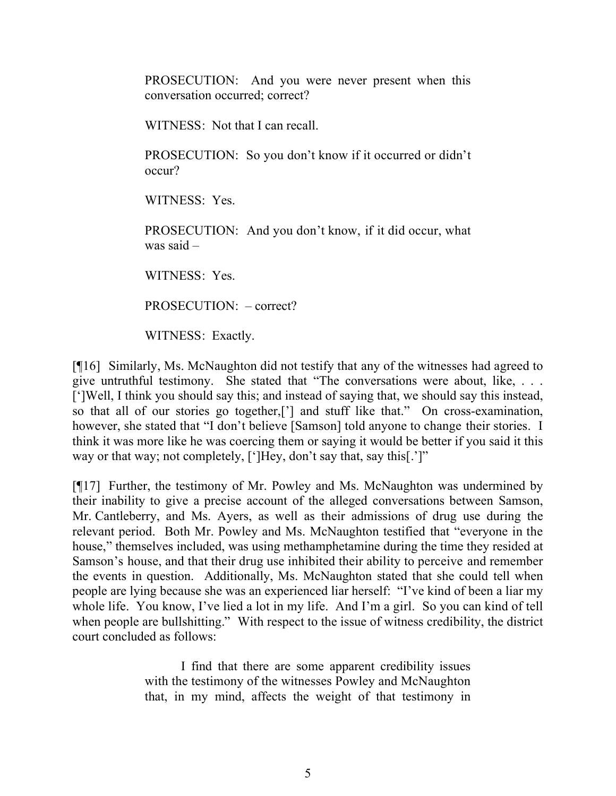PROSECUTION: And you were never present when this conversation occurred; correct?

WITNESS: Not that I can recall.

PROSECUTION: So you don't know if it occurred or didn't occur?

WITNESS: Yes.

PROSECUTION: And you don't know, if it did occur, what was said –

WITNESS: Yes.

PROSECUTION: – correct?

WITNESS: Exactly.

[¶16] Similarly, Ms. McNaughton did not testify that any of the witnesses had agreed to give untruthful testimony. She stated that "The conversations were about, like, . . . [']Well, I think you should say this; and instead of saying that, we should say this instead, so that all of our stories go together,['] and stuff like that." On cross-examination, however, she stated that "I don't believe [Samson] told anyone to change their stories. I think it was more like he was coercing them or saying it would be better if you said it this way or that way; not completely, [']Hey, don't say that, say this[.']"

[¶17] Further, the testimony of Mr. Powley and Ms. McNaughton was undermined by their inability to give a precise account of the alleged conversations between Samson, Mr. Cantleberry, and Ms. Ayers, as well as their admissions of drug use during the relevant period. Both Mr. Powley and Ms. McNaughton testified that "everyone in the house," themselves included, was using methamphetamine during the time they resided at Samson's house, and that their drug use inhibited their ability to perceive and remember the events in question. Additionally, Ms. McNaughton stated that she could tell when people are lying because she was an experienced liar herself: "I've kind of been a liar my whole life. You know, I've lied a lot in my life. And I'm a girl. So you can kind of tell when people are bullshitting." With respect to the issue of witness credibility, the district court concluded as follows:

> I find that there are some apparent credibility issues with the testimony of the witnesses Powley and McNaughton that, in my mind, affects the weight of that testimony in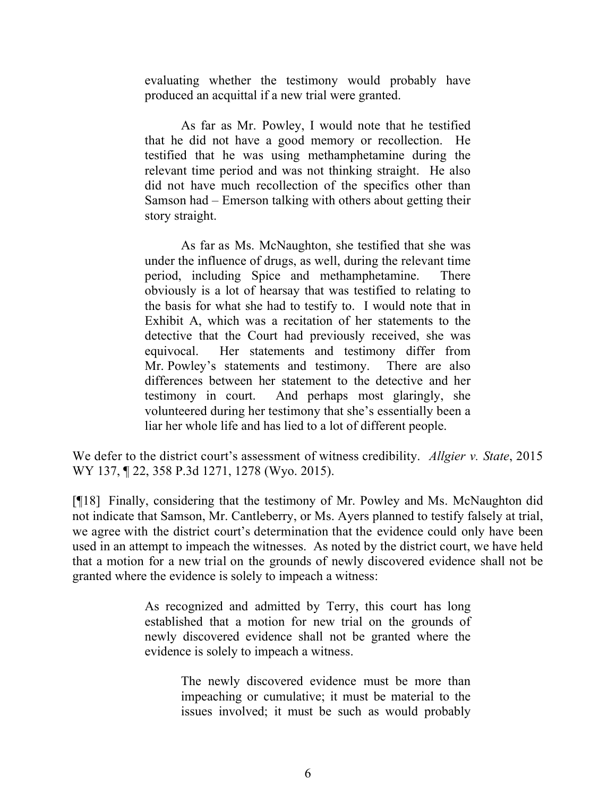evaluating whether the testimony would probably have produced an acquittal if a new trial were granted.

As far as Mr. Powley, I would note that he testified that he did not have a good memory or recollection. He testified that he was using methamphetamine during the relevant time period and was not thinking straight. He also did not have much recollection of the specifics other than Samson had – Emerson talking with others about getting their story straight.

As far as Ms. McNaughton, she testified that she was under the influence of drugs, as well, during the relevant time period, including Spice and methamphetamine. There obviously is a lot of hearsay that was testified to relating to the basis for what she had to testify to. I would note that in Exhibit A, which was a recitation of her statements to the detective that the Court had previously received, she was equivocal. Her statements and testimony differ from Mr. Powley's statements and testimony. There are also differences between her statement to the detective and her testimony in court. And perhaps most glaringly, she volunteered during her testimony that she's essentially been a liar her whole life and has lied to a lot of different people.

We defer to the district court's assessment of witness credibility. *Allgier v. State*, 2015 WY 137, ¶ 22, 358 P.3d 1271, 1278 (Wyo. 2015).

[¶18] Finally, considering that the testimony of Mr. Powley and Ms. McNaughton did not indicate that Samson, Mr. Cantleberry, or Ms. Ayers planned to testify falsely at trial, we agree with the district court's determination that the evidence could only have been used in an attempt to impeach the witnesses. As noted by the district court, we have held that a motion for a new trial on the grounds of newly discovered evidence shall not be granted where the evidence is solely to impeach a witness:

> As recognized and admitted by Terry, this court has long established that a motion for new trial on the grounds of newly discovered evidence shall not be granted where the evidence is solely to impeach a witness.

> > The newly discovered evidence must be more than impeaching or cumulative; it must be material to the issues involved; it must be such as would probably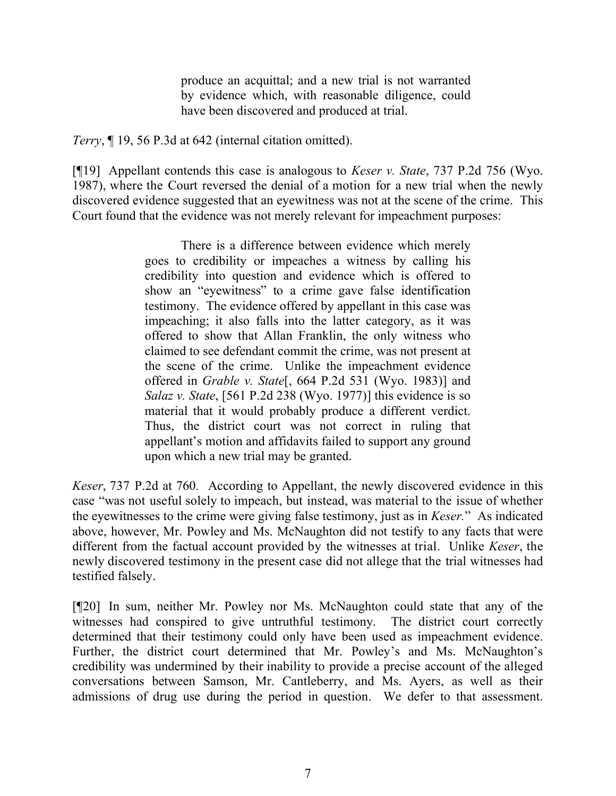produce an acquittal; and a new trial is not warranted by evidence which, with reasonable diligence, could have been discovered and produced at trial.

*Terry*, ¶ 19, 56 P.3d at 642 (internal citation omitted).

[¶19] Appellant contends this case is analogous to *Keser v. State*, 737 P.2d 756 (Wyo. 1987), where the Court reversed the denial of a motion for a new trial when the newly discovered evidence suggested that an eyewitness was not at the scene of the crime. This Court found that the evidence was not merely relevant for impeachment purposes:

> There is a difference between evidence which merely goes to credibility or impeaches a witness by calling his credibility into question and evidence which is offered to show an "eyewitness" to a crime gave false identification testimony. The evidence offered by appellant in this case was impeaching; it also falls into the latter category, as it was offered to show that Allan Franklin, the only witness who claimed to see defendant commit the crime, was not present at the scene of the crime. Unlike the impeachment evidence offered in *Grable v. State*[, 664 P.2d 531 (Wyo. 1983)] and *Salaz v. State*, [561 P.2d 238 (Wyo. 1977)] this evidence is so material that it would probably produce a different verdict. Thus, the district court was not correct in ruling that appellant's motion and affidavits failed to support any ground upon which a new trial may be granted.

*Keser*, 737 P.2d at 760*.* According to Appellant, the newly discovered evidence in this case "was not useful solely to impeach, but instead, was material to the issue of whether the eyewitnesses to the crime were giving false testimony, just as in *Keser.*" As indicated above, however, Mr. Powley and Ms. McNaughton did not testify to any facts that were different from the factual account provided by the witnesses at trial. Unlike *Keser*, the newly discovered testimony in the present case did not allege that the trial witnesses had testified falsely.

[¶20] In sum, neither Mr. Powley nor Ms. McNaughton could state that any of the witnesses had conspired to give untruthful testimony. The district court correctly determined that their testimony could only have been used as impeachment evidence. Further, the district court determined that Mr. Powley's and Ms. McNaughton's credibility was undermined by their inability to provide a precise account of the alleged conversations between Samson, Mr. Cantleberry, and Ms. Ayers, as well as their admissions of drug use during the period in question. We defer to that assessment.